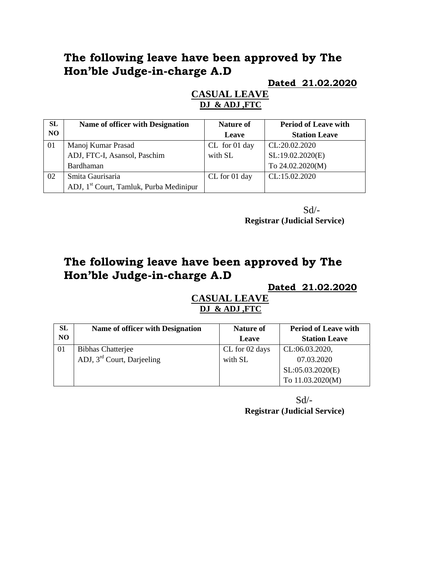# **The following leave have been approved by The Hon'ble Judge-in-charge A.D**

**Dated 21.02.2020**

### **CASUAL LEAVE DJ & ADJ ,FTC**

| <b>SL</b> | Name of officer with Designation                    | <b>Nature of</b> | <b>Period of Leave with</b> |
|-----------|-----------------------------------------------------|------------------|-----------------------------|
| <b>NO</b> |                                                     | Leave            | <b>Station Leave</b>        |
| 01        | Manoj Kumar Prasad                                  | CL for 01 day    | CL:20.02.2020               |
|           | ADJ, FTC-I, Asansol, Paschim                        | with SL          | SL:19.02.2020(E)            |
|           | Bardhaman                                           |                  | To 24.02.2020(M)            |
| 02        | Smita Gaurisaria                                    | CL for 01 day    | CL:15.02.2020               |
|           | ADJ, 1 <sup>st</sup> Court, Tamluk, Purba Medinipur |                  |                             |

 $Sd$ <sup>-</sup> **Registrar (Judicial Service)**

# **The following leave have been approved by The Hon'ble Judge-in-charge A.D**

### **Dated 21.02.2020**

#### **CASUAL LEAVE DJ & ADJ ,FTC**

| SL | <b>Name of officer with Designation</b> | Nature of      | <b>Period of Leave with</b> |
|----|-----------------------------------------|----------------|-----------------------------|
| NO |                                         | Leave          | <b>Station Leave</b>        |
| 01 | <b>Bibhas Chatterjee</b>                | CL for 02 days | CL:06.03.2020,              |
|    | ADJ, 3 <sup>rd</sup> Court, Darjeeling  | with SL        | 07.03.2020                  |
|    |                                         |                | SL:05.03.2020(E)            |
|    |                                         |                | To 11.03.2020(M)            |

 $Sd$  – **Registrar (Judicial Service)**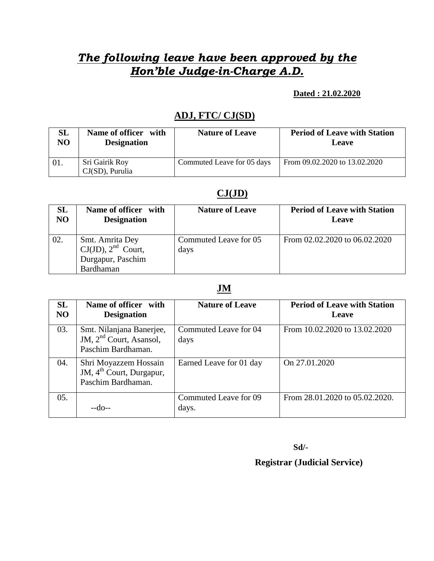# *The following leave have been approved by the Hon'ble Judge-in-Charge A.D.*

#### **Dated : 21.02.2020**

## **ADJ, FTC/ CJ(SD)**

| <b>SL</b> | Name of officer with                 | <b>Nature of Leave</b>     | <b>Period of Leave with Station</b> |
|-----------|--------------------------------------|----------------------------|-------------------------------------|
| NO        | <b>Designation</b>                   |                            | Leave                               |
| 01.       | Sri Gairik Roy<br>$CJ(SD)$ , Purulia | Commuted Leave for 05 days | From 09.02.2020 to 13.02.2020       |

### **CJ(JD)**

| SL             | Name of officer with                                                         | <b>Nature of Leave</b>        | <b>Period of Leave with Station</b> |
|----------------|------------------------------------------------------------------------------|-------------------------------|-------------------------------------|
| N <sub>O</sub> | <b>Designation</b>                                                           |                               | Leave                               |
| 02.            | Smt. Amrita Dey<br>$CJ(JD)$ , $2nd$ Court,<br>Durgapur, Paschim<br>Bardhaman | Commuted Leave for 05<br>days | From 02.02.2020 to 06.02.2020       |

#### **JM**

| <b>SL</b><br>N <sub>O</sub> | Name of officer with<br><b>Designation</b>                                          | <b>Nature of Leave</b>         | <b>Period of Leave with Station</b><br>Leave |
|-----------------------------|-------------------------------------------------------------------------------------|--------------------------------|----------------------------------------------|
| 03.                         | Smt. Nilanjana Banerjee,<br>JM, $2nd$ Court, Asansol,<br>Paschim Bardhaman.         | Commuted Leave for 04<br>days  | From 10.02.2020 to 13.02.2020                |
| 04.                         | Shri Moyazzem Hossain<br>JM, 4 <sup>th</sup> Court, Durgapur,<br>Paschim Bardhaman. | Earned Leave for 01 day        | On 27.01.2020                                |
| 05.                         |                                                                                     | Commuted Leave for 09<br>days. | From 28.01.2020 to 05.02.2020.               |

**Sd/-**

## **Registrar (Judicial Service)**